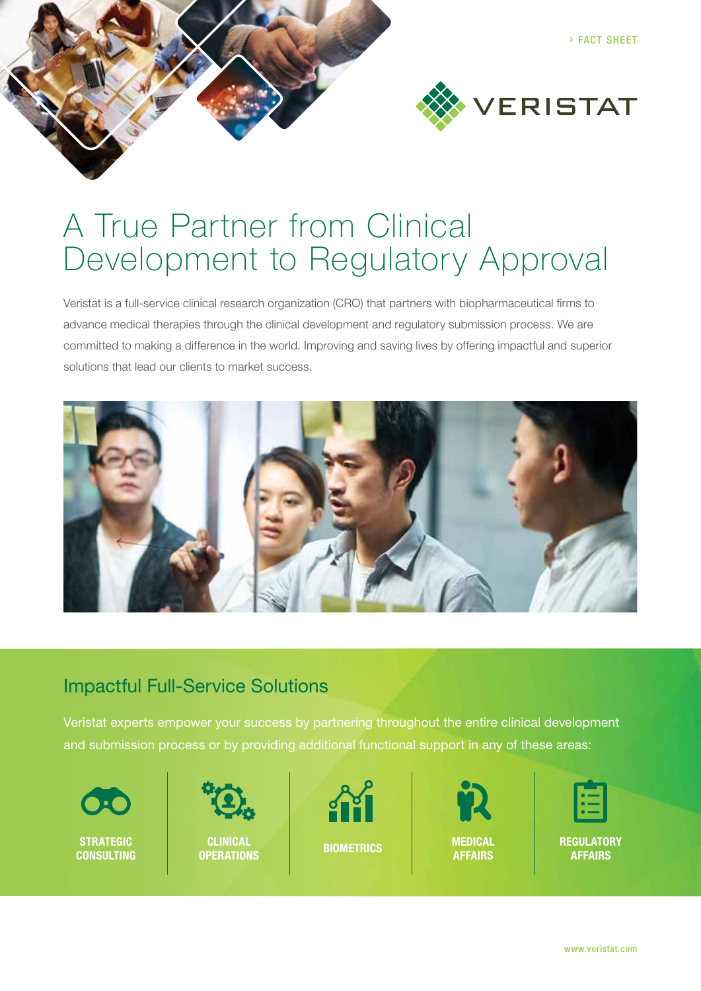

# A True Partner from Clinical Development to Regulatory Approval

Veristat is a full-service clinical research organization (CRO) that partners with biopharmaceutical firms to advance medical therapies through the clinical development and regulatory submission process. We are committed to making a difference in the world. Improving and saving lives by offering impactful and superior solutions that lead our clients to market success.



### Impactful Full-Service Solutions

Veristat experts empower your success by partnering throughout the entire clinical development and submission process or by providing additional functional support in any of these areas:

**STRATEGIC** 



**CONSULTING BIOMETRICS CLINICAL OPERATIONS**





**MEDICAL AFFAIRS**



**REGULATORY AFFAIRS**